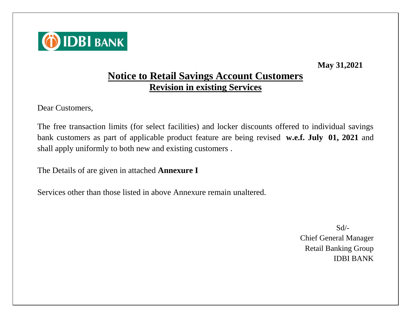

**May 31,2021**

## **Notice to Retail Savings Account Customers Revision in existing Services**

Dear Customers,

The free transaction limits (for select facilities) and locker discounts offered to individual savings bank customers as part of applicable product feature are being revised **w.e.f. July 01, 2021** and shall apply uniformly to both new and existing customers .

The Details of are given in attached **Annexure I**

Services other than those listed in above Annexure remain unaltered.

 $Sd$ <sup>-</sup> Chief General Manager Retail Banking Group IDBI BANK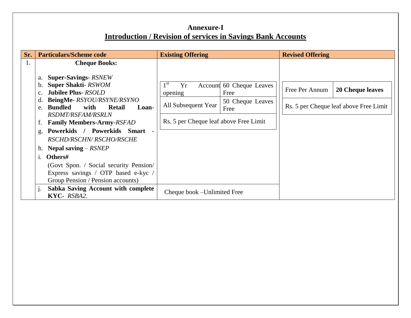## **Annexure-I Introduction / Revision of services in Savings Bank Accounts**

| Sr. | <b>Particulars/Scheme code</b>                                                                                                                                                                                                               | <b>Existing Offering</b>                                                                                                                                          | <b>Revised Offering</b>                                                             |
|-----|----------------------------------------------------------------------------------------------------------------------------------------------------------------------------------------------------------------------------------------------|-------------------------------------------------------------------------------------------------------------------------------------------------------------------|-------------------------------------------------------------------------------------|
| 1.  | <b>Cheque Books:</b>                                                                                                                                                                                                                         |                                                                                                                                                                   |                                                                                     |
|     | a. Super-Savings-RSNEW<br>b. Super Shakti-RSWOM<br><b>Jubilee Plus- RSOLD</b><br>C <sub>1</sub><br>BeingMe-RSYOU/RSYNE/RSYNO<br>e. Bundled<br>with<br><b>Retail</b><br>Loan-<br><b>RSDMT/RSFAM/RSRLN</b><br><b>Family Members-Army-RSFAD</b> | 1 <sup>st</sup><br>Yr<br>Account 60 Cheque Leaves<br>Free<br>opening<br>50 Cheque Leaves<br>All Subsequent Year<br>Free<br>Rs. 5 per Cheque leaf above Free Limit | Free Per Annum<br><b>20 Cheque leaves</b><br>Rs. 5 per Cheque leaf above Free Limit |
|     | g. Powerkids / Powerkids Smart<br>RSCHD/RSCHN/ RSCHO/RSCHE                                                                                                                                                                                   |                                                                                                                                                                   |                                                                                     |
|     | h. Nepal saving $-RSNEP$                                                                                                                                                                                                                     |                                                                                                                                                                   |                                                                                     |
|     | i. Others#                                                                                                                                                                                                                                   |                                                                                                                                                                   |                                                                                     |
|     | (Govt Spon. / Social security Pension/<br>Express savings / OTP based e-kyc /<br>Group Pension / Pension accounts)                                                                                                                           |                                                                                                                                                                   |                                                                                     |
|     | Sabka Saving Account with complete<br>KYC-RSBA2.                                                                                                                                                                                             | Cheque book – Unlimited Free                                                                                                                                      |                                                                                     |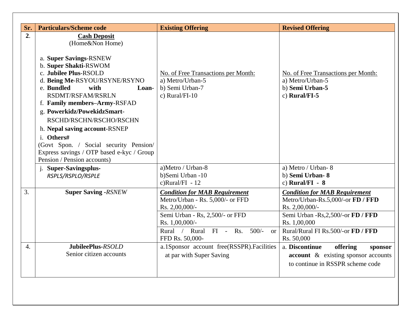| Sr.              | <b>Particulars/Scheme code</b>                                                                                                                                                                                                                                                                                                                                                                                                                                         | <b>Existing Offering</b>                                                                                                                                                                                             | <b>Revised Offering</b>                                                                                                                                                                               |
|------------------|------------------------------------------------------------------------------------------------------------------------------------------------------------------------------------------------------------------------------------------------------------------------------------------------------------------------------------------------------------------------------------------------------------------------------------------------------------------------|----------------------------------------------------------------------------------------------------------------------------------------------------------------------------------------------------------------------|-------------------------------------------------------------------------------------------------------------------------------------------------------------------------------------------------------|
| 2.               | <b>Cash Deposit</b><br>(Home&Non Home)<br>a. Super Savings-RSNEW<br>b. Super Shakti-RSWOM<br>c. Jubilee Plus-RSOLD<br>d. Being Me-RSYOU/RSYNE/RSYNO<br>with<br>e. Bundled<br>Loan-<br>RSDMT/RSFAM/RSRLN<br>f. Family members-Army-RSFAD<br>g. Powerkidz/PowekidzSmart-<br>RSCHD/RSCHN/RSCHO/RSCHN<br>h. Nepal saving account-RSNEP<br>i. Others#<br>(Govt Spon. / Social security Pension/<br>Express savings / OTP based e-kyc / Group<br>Pension / Pension accounts) | No. of Free Transactions per Month:<br>a) Metro/Urban-5<br>b) Semi Urban-7<br>c) Rural/FI-10                                                                                                                         | No. of Free Transactions per Month:<br>a) Metro/Urban-5<br>b) Semi Urban-5<br>c) Rural/FI- $5$                                                                                                        |
|                  | j. Super-Savingsplus-<br>RSPLS/RSPLO/RSPLE                                                                                                                                                                                                                                                                                                                                                                                                                             | a)Metro / Urban-8<br>b)Semi Urban -10<br>c) $Rural/FI - 12$                                                                                                                                                          | a) Metro / Urban-8<br>b) Semi Urban-8<br>c) Rural/FI - $8$                                                                                                                                            |
| 3.               | <b>Super Saving -RSNEW</b>                                                                                                                                                                                                                                                                                                                                                                                                                                             | <b>Condition for MAB Requirement</b><br>Metro/Urban - Rs. 5,000/- or FFD<br>Rs. 2,00,000/-<br>Semi Urban - Rs, 2,500/- or FFD<br>Rs. 1,00,000/-<br>Rural FI - Rs. 500/-<br>Rural $/$<br><b>or</b><br>FFD Rs. 50,000- | <b>Condition for MAB Requirement</b><br>Metro/Urban-Rs.5,000/-or FD / FFD<br>Rs. 2,00,000/-<br>Semi Urban -Rs, 2,500/-or FD / FFD<br>Rs. 1,00,000<br>Rural/Rural FI Rs.500/-or FD / FFD<br>Rs. 50,000 |
| $\overline{4}$ . | JubileePlus-RSOLD<br>Senior citizen accounts                                                                                                                                                                                                                                                                                                                                                                                                                           | a.1Sponsor account free(RSSPR).Facilities<br>at par with Super Saving                                                                                                                                                | a. Discontinue<br>offering<br>sponsor<br><b>account</b> & existing sponsor accounts<br>to continue in RSSPR scheme code                                                                               |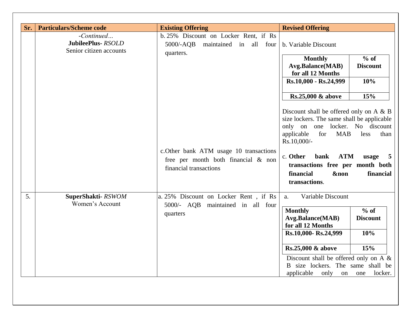| Sr. | <b>Particulars/Scheme code</b><br>-Continued<br>JubileePlus-RSOLD<br>Senior citizen accounts | <b>Existing Offering</b><br>b. 25% Discount on Locker Rent, if Rs<br>5000/-AQB<br>maintained in all four<br>quarters. | <b>Revised Offering</b><br>b. Variable Discount<br>$%$ of<br><b>Monthly</b><br>Avg.Balance(MAB)<br><b>Discount</b><br>for all 12 Months<br>10%<br>Rs.10,000 - Rs.24,999<br>15%<br>Rs.25,000 & above<br>Discount shall be offered only on A $\&$ B<br>size lockers. The same shall be applicable               |
|-----|----------------------------------------------------------------------------------------------|-----------------------------------------------------------------------------------------------------------------------|---------------------------------------------------------------------------------------------------------------------------------------------------------------------------------------------------------------------------------------------------------------------------------------------------------------|
|     |                                                                                              | c.Other bank ATM usage 10 transactions<br>free per month both financial & non<br>financial transactions               | only on one locker. No discount<br>applicable<br>for<br><b>MAB</b><br>less<br>than<br>Rs.10,000/-<br><b>ATM</b><br>c. Other<br>bank<br>usage<br>transactions free per month both<br>financial<br><b>&amp;non</b><br>financial<br>transactions.                                                                |
| 5.  | SuperShakti-RSWOM<br>Women's Account                                                         | a. 25% Discount on Locker Rent, if Rs<br>5000/- AQB maintained in all four<br>quarters                                | Variable Discount<br>a.<br>% of<br><b>Monthly</b><br><b>Avg.Balance(MAB)</b><br><b>Discount</b><br>for all 12 Months<br>10%<br>Rs.10,000-Rs.24,999<br>Rs.25,000 & above<br>15%<br>Discount shall be offered only on A $\&$<br>B size lockers. The same shall be<br>applicable<br>only<br>locker.<br>on<br>one |